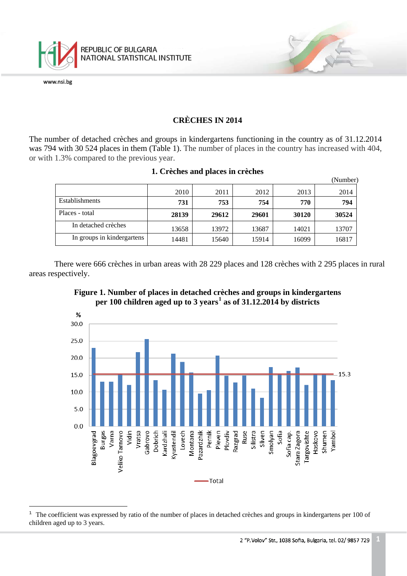

## **CRÈCHES IN 2014**

The number of detached crèches and groups in kindergartens functioning in the country as of 31.12.2014 was 794 with 30 524 places in them (Table 1). The number of places in the country has increased with 404, or with 1.3% compared to the previous year.

## **1. Crèches and places in crèches**

|                            |       |       |       |       | (Number) |
|----------------------------|-------|-------|-------|-------|----------|
|                            | 2010  | 2011  | 2012  | 2013  | 2014     |
| <b>Establishments</b>      | 731   | 753   | 754   | 770   | 794      |
| Places - total             | 28139 | 29612 | 29601 | 30120 | 30524    |
| In detached crèches        | 13658 | 13972 | 13687 | 14021 | 13707    |
| In groups in kindergartens | 14481 | 15640 | 15914 | 16099 | 16817    |

There were 666 crèches in urban areas with 28 229 places and 128 crèches with 2 295 places in rural areas respectively.



**Figure 1. Number of places in detached crèches and groups in kindergartens per 100 children aged up to 3 years[1](#page-0-0) as of 31.12.2014 by districts**

<span id="page-0-1"></span><span id="page-0-0"></span>Ĩ.  $1$  The coefficient was expressed by ratio of the number of places in detached crèches and groups in kindergartens per 100 of children aged up to 3 years.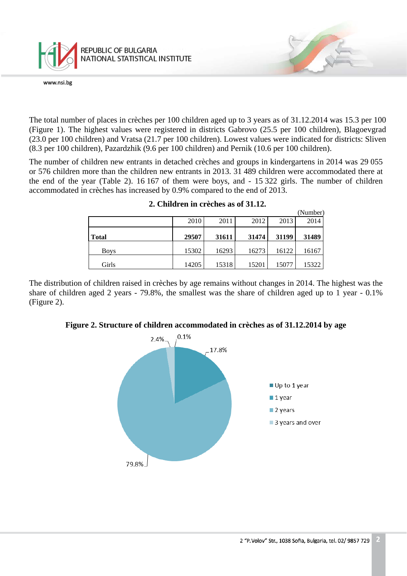

The total number of places in crèches per 100 children aged up to 3 years as of 31.12.2014 was 15.3 per 100 (Figure 1). The highest values were registered in districts Gabrovo (25.5 per 100 children), Blagoevgrad (23.0 per 100 children) and Vratsa (21.7 per 100 children). Lowest values were indicated for districts: Sliven (8.3 per 100 children), Pazardzhik (9.6 per 100 children) and Pernik (10.6 per 100 children).

The number of children new entrants in detached crèches and groups in kindergartens in 2014 was 29 055 or 576 children more than the children new entrants in 2013. 31 489 children were accommodated there at the end of the year (Table 2). 16 167 of them were boys, and - 15 322 girls. The number of children accommodated in crèches has increased by 0.9% compared to the end of 2013.

|              |       |       |       |       | (Number) |
|--------------|-------|-------|-------|-------|----------|
|              | 2010  | 2011  | 2012  | 2013  | 2014     |
| <b>Total</b> | 29507 | 31611 | 31474 | 31199 | 31489    |
| <b>Boys</b>  | 15302 | 16293 | 16273 | 16122 | 16167    |
| Girls        | 14205 | 15318 | 15201 | 15077 | 15322    |

|  | 2. Children in crèches as of 31.12. |  |  |  |  |  |
|--|-------------------------------------|--|--|--|--|--|
|--|-------------------------------------|--|--|--|--|--|

The distribution of children raised in crèches by age remains without changes in 2014. The highest was the share of children aged 2 years - 79.8%, the smallest was the share of children aged up to 1 year - 0.1% (Figure 2).



**Figure 2. Structure of children accommodated in crèches as of 31.12.2014 by age**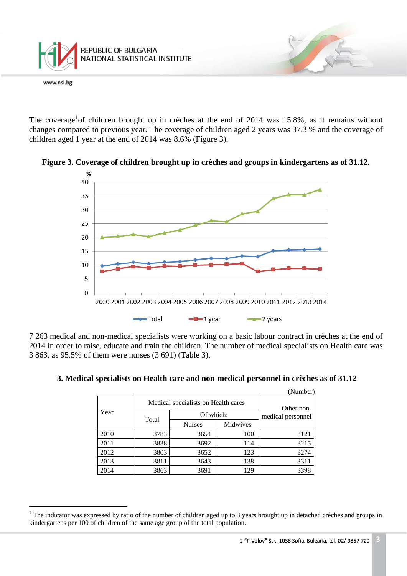

The coverage<sup>[1](#page-0-1)</sup> of children brought up in crèches at the end of 2014 was 15.8%, as it remains without changes compared to previous year. The coverage of children aged 2 years was 37.3 % and the coverage of children aged 1 year at the end of 2014 was 8.6% (Figure 3).



**Figure 3. Coverage of children brought up in crèches and groups in kindergartens as of 31.12.**

7 263 medical and non-medical specialists were working on a basic labour contract in crèches at the end of 2014 in order to raise, educate and train the children. The number of medical specialists on Health care was 3 863, as 95.5% of them were nurses (3 691) (Table 3).

| (Number) |                                     |                                 |          |      |  |  |  |
|----------|-------------------------------------|---------------------------------|----------|------|--|--|--|
| Year     | Medical specialists on Health cares | Other non-<br>medical personnel |          |      |  |  |  |
|          | Total                               |                                 |          |      |  |  |  |
|          |                                     | <b>Nurses</b>                   | Midwives |      |  |  |  |
| 2010     | 3783                                | 3654                            | 100      | 3121 |  |  |  |
| 2011     | 3838                                | 3692                            | 114      | 3215 |  |  |  |
| 2012     | 3803                                | 3652                            | 123      | 3274 |  |  |  |
| 2013     | 3811                                | 3643                            | 138      | 3311 |  |  |  |
| 2014     | 3863                                | 3691                            | 129      | 3398 |  |  |  |

## **3. Medical specialists on Health care and non-medical personnel in crèches as of 31.12**

 $\frac{1}{\sqrt{2}}$ <sup>1</sup> The indicator was expressed by ratio of the number of children aged up to 3 years brought up in detached crèches and groups in kindergartens per 100 of children of the same age group of the total population.